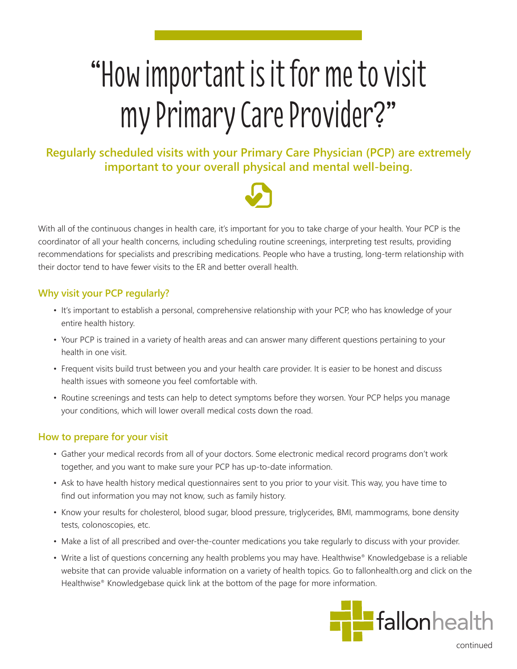# "How important is it for me to visit my Primary Care Provider?"

**Regularly scheduled visits with your Primary Care Physician (PCP) are extremely important to your overall physical and mental well-being.**



With all of the continuous changes in health care, it's important for you to take charge of your health. Your PCP is the coordinator of all your health concerns, including scheduling routine screenings, interpreting test results, providing recommendations for specialists and prescribing medications. People who have a trusting, long-term relationship with their doctor tend to have fewer visits to the ER and better overall health.

## **Why visit your PCP regularly?**

- It's important to establish a personal, comprehensive relationship with your PCP, who has knowledge of your entire health history.
- Your PCP is trained in a variety of health areas and can answer many different questions pertaining to your health in one visit.
- Frequent visits build trust between you and your health care provider. It is easier to be honest and discuss health issues with someone you feel comfortable with.
- Routine screenings and tests can help to detect symptoms before they worsen. Your PCP helps you manage your conditions, which will lower overall medical costs down the road.

## **How to prepare for your visit**

- Gather your medical records from all of your doctors. Some electronic medical record programs don't work together, and you want to make sure your PCP has up-to-date information.
- Ask to have health history medical questionnaires sent to you prior to your visit. This way, you have time to find out information you may not know, such as family history.
- Know your results for cholesterol, blood sugar, blood pressure, triglycerides, BMI, mammograms, bone density tests, colonoscopies, etc.
- Make a list of all prescribed and over-the-counter medications you take regularly to discuss with your provider.
- Write a list of questions concerning any health problems you may have. Healthwise® Knowledgebase is a reliable website that can provide valuable information on a variety of health topics. Go to fallonhealth.org and click on the Healthwise® Knowledgebase quick link at the bottom of the page for more information.



continued